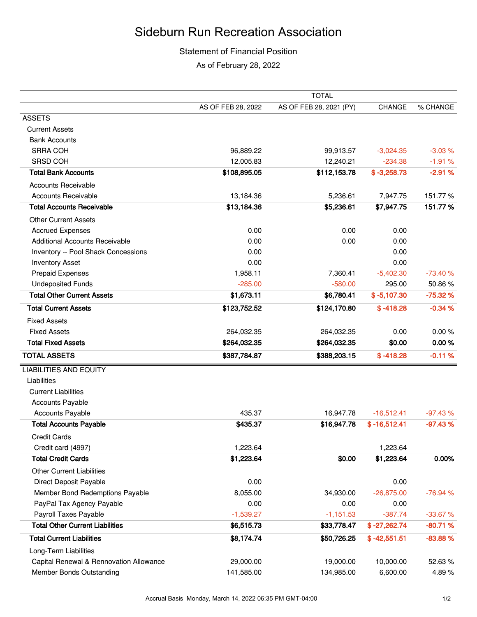## Sideburn Run Recreation Association

## Statement of Financial Position

As of February 28, 2022

|                                         | <b>TOTAL</b>       |                         |                |           |  |
|-----------------------------------------|--------------------|-------------------------|----------------|-----------|--|
|                                         | AS OF FEB 28, 2022 | AS OF FEB 28, 2021 (PY) | <b>CHANGE</b>  | % CHANGE  |  |
| <b>ASSETS</b>                           |                    |                         |                |           |  |
| <b>Current Assets</b>                   |                    |                         |                |           |  |
| <b>Bank Accounts</b>                    |                    |                         |                |           |  |
| <b>SRRA COH</b>                         | 96,889.22          | 99,913.57               | $-3,024.35$    | $-3.03%$  |  |
| SRSD COH                                | 12,005.83          | 12,240.21               | $-234.38$      | $-1.91%$  |  |
| <b>Total Bank Accounts</b>              | \$108,895.05       | \$112,153.78            | $$ -3,258.73$  | $-2.91%$  |  |
| <b>Accounts Receivable</b>              |                    |                         |                |           |  |
| <b>Accounts Receivable</b>              | 13,184.36          | 5,236.61                | 7,947.75       | 151.77%   |  |
| <b>Total Accounts Receivable</b>        | \$13,184.36        | \$5,236.61              | \$7,947.75     | 151.77%   |  |
| <b>Other Current Assets</b>             |                    |                         |                |           |  |
| <b>Accrued Expenses</b>                 | 0.00               | 0.00                    | 0.00           |           |  |
| <b>Additional Accounts Receivable</b>   | 0.00               | 0.00                    | 0.00           |           |  |
| Inventory -- Pool Shack Concessions     | 0.00               |                         | 0.00           |           |  |
| <b>Inventory Asset</b>                  | 0.00               |                         | 0.00           |           |  |
| <b>Prepaid Expenses</b>                 | 1,958.11           | 7,360.41                | $-5,402.30$    | $-73.40%$ |  |
| <b>Undeposited Funds</b>                | $-285.00$          | $-580.00$               | 295.00         | 50.86%    |  |
| <b>Total Other Current Assets</b>       | \$1,673.11         | \$6,780.41              | $$ -5,107.30$  | $-75.32%$ |  |
| <b>Total Current Assets</b>             | \$123,752.52       | \$124,170.80            | $$ -418.28$    | $-0.34%$  |  |
| <b>Fixed Assets</b>                     |                    |                         |                |           |  |
| <b>Fixed Assets</b>                     | 264,032.35         | 264,032.35              | 0.00           | 0.00%     |  |
| <b>Total Fixed Assets</b>               | \$264,032.35       | \$264,032.35            | \$0.00         | 0.00%     |  |
| <b>TOTAL ASSETS</b>                     | \$387,784.87       | \$388,203.15            | $$ -418.28$    | $-0.11%$  |  |
| <b>LIABILITIES AND EQUITY</b>           |                    |                         |                |           |  |
| Liabilities                             |                    |                         |                |           |  |
| <b>Current Liabilities</b>              |                    |                         |                |           |  |
| <b>Accounts Payable</b>                 |                    |                         |                |           |  |
| <b>Accounts Payable</b>                 | 435.37             | 16,947.78               | $-16,512.41$   | $-97.43%$ |  |
| <b>Total Accounts Payable</b>           | \$435.37           | \$16,947.78             | $$ -16,512.41$ | $-97.43%$ |  |
| <b>Credit Cards</b>                     |                    |                         |                |           |  |
| Credit card (4997)                      | 1,223.64           |                         | 1,223.64       |           |  |
| <b>Total Credit Cards</b>               | \$1,223.64         | \$0.00                  | \$1,223.64     | 0.00%     |  |
| <b>Other Current Liabilities</b>        |                    |                         |                |           |  |
| Direct Deposit Payable                  | 0.00               |                         | 0.00           |           |  |
| Member Bond Redemptions Payable         | 8,055.00           | 34,930.00               | $-26,875.00$   | $-76.94%$ |  |
| PayPal Tax Agency Payable               | 0.00               | 0.00                    | 0.00           |           |  |
| Payroll Taxes Payable                   | $-1,539.27$        | $-1,151.53$             | $-387.74$      | $-33.67%$ |  |
| <b>Total Other Current Liabilities</b>  | \$6,515.73         | \$33,778.47             | $$ -27,262.74$ | $-80.71%$ |  |
| <b>Total Current Liabilities</b>        | \$8,174.74         | \$50,726.25             | $$ -42,551.51$ | $-83.88%$ |  |
| Long-Term Liabilities                   |                    |                         |                |           |  |
| Capital Renewal & Rennovation Allowance | 29,000.00          | 19,000.00               | 10,000.00      | 52.63%    |  |
| Member Bonds Outstanding                | 141,585.00         | 134,985.00              | 6,600.00       | 4.89%     |  |